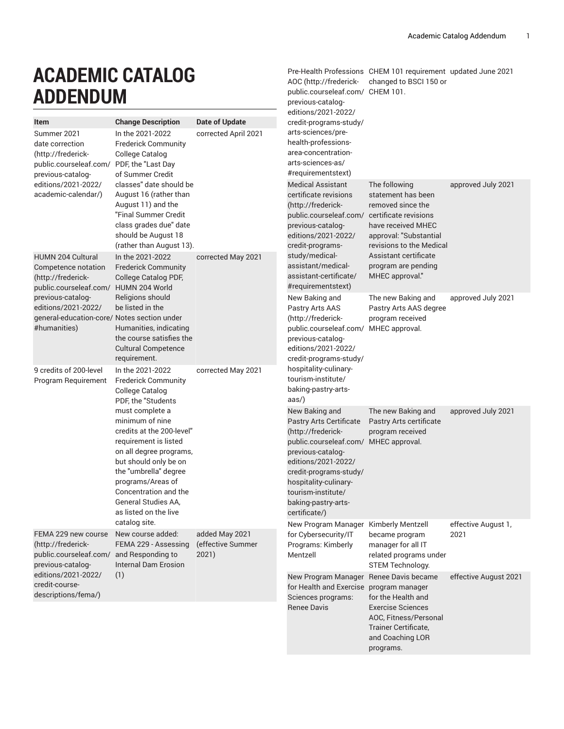Pre-Health [Professions](http://frederick-public.courseleaf.com/previous-catalog-editions/2021-2022/credit-programs-study/arts-sciences/pre-health-professions-area-concentration-arts-sciences-as/#requirementstext) CHEM 101 requirement updated June 2021

[AOC](http://frederick-public.courseleaf.com/previous-catalog-editions/2021-2022/credit-programs-study/arts-sciences/pre-health-professions-area-concentration-arts-sciences-as/#requirementstext) ([http://frederick-](http://frederick-public.courseleaf.com/previous-catalog-editions/2021-2022/credit-programs-study/arts-sciences/pre-health-professions-area-concentration-arts-sciences-as/#requirementstext)changed to BSCI 150 or

[public.courseleaf.com/](http://frederick-public.courseleaf.com/previous-catalog-editions/2021-2022/credit-programs-study/arts-sciences/pre-health-professions-area-concentration-arts-sciences-as/#requirementstext) CHEM 101.

## **ACADEMIC CATALOG ADDENDUM**

| ADDLIYDUN                                                                                                                                                            |                                                                                                                                                                                                                                                                                                                                                                |                                              | previous-catalog-                                                                                                                                                                                                                                                                                                                                                        |                                                                                                                                                     |                             |  |
|----------------------------------------------------------------------------------------------------------------------------------------------------------------------|----------------------------------------------------------------------------------------------------------------------------------------------------------------------------------------------------------------------------------------------------------------------------------------------------------------------------------------------------------------|----------------------------------------------|--------------------------------------------------------------------------------------------------------------------------------------------------------------------------------------------------------------------------------------------------------------------------------------------------------------------------------------------------------------------------|-----------------------------------------------------------------------------------------------------------------------------------------------------|-----------------------------|--|
| Item                                                                                                                                                                 | <b>Change Description</b>                                                                                                                                                                                                                                                                                                                                      | <b>Date of Update</b>                        | editions/2021-2022/<br>credit-programs-study/                                                                                                                                                                                                                                                                                                                            |                                                                                                                                                     |                             |  |
| Summer 2021<br>date correction<br>(http://frederick-<br>public.courseleaf.com/ PDF, the "Last Day<br>previous-catalog-<br>editions/2021-2022/<br>academic-calendar/) | In the 2021-2022<br><b>Frederick Community</b><br>College Catalog<br>of Summer Credit<br>classes" date should be<br>August 16 (rather than<br>August 11) and the<br>"Final Summer Credit<br>class grades due" date<br>should be August 18                                                                                                                      | corrected April 2021                         | arts-sciences/pre-<br>health-professions-<br>area-concentration-<br>arts-sciences-as/<br>#requirementstext)<br><b>Medical Assistant</b><br>certificate revisions<br>(http://frederick-<br>public.courseleaf.com/<br>previous-catalog-<br>editions/2021-2022/<br>credit-programs-<br>study/medical-<br>assistant/medical-<br>assistant-certificate/<br>#requirementstext) | The following<br>statement has been<br>removed since the<br>certificate revisions<br>have received MHEC<br>approval: "Substantial                   | approved July 2021          |  |
| <b>HUMN 204 Cultural</b><br>Competence notation<br>(http://frederick-<br>public.courseleaf.com/ HUMN 204 World                                                       | (rather than August 13).<br>In the 2021-2022<br><b>Frederick Community</b><br>College Catalog PDF,                                                                                                                                                                                                                                                             | corrected May 2021                           |                                                                                                                                                                                                                                                                                                                                                                          | revisions to the Medical<br>Assistant certificate<br>program are pending<br>MHEC approval."                                                         |                             |  |
| previous-catalog-<br>editions/2021-2022/<br>general-education-core/ Notes section under<br>#humanities)                                                              | Religions should<br>be listed in the<br>Humanities, indicating<br>the course satisfies the<br><b>Cultural Competence</b><br>requirement.                                                                                                                                                                                                                       |                                              | New Baking and<br>Pastry Arts AAS<br>(http://frederick-<br>public.courseleaf.com/ MHEC approval.<br>previous-catalog-<br>editions/2021-2022/<br>credit-programs-study/                                                                                                                                                                                                   | The new Baking and<br>Pastry Arts AAS degree<br>program received                                                                                    | approved July 2021          |  |
| 9 credits of 200-level<br>Program Requirement                                                                                                                        | In the 2021-2022<br><b>Frederick Community</b><br>College Catalog<br>PDF, the "Students<br>must complete a<br>minimum of nine<br>credits at the 200-level"<br>requirement is listed<br>on all degree programs,<br>but should only be on<br>the "umbrella" degree<br>programs/Areas of<br>Concentration and the<br>General Studies AA,<br>as listed on the live | corrected May 2021                           | hospitality-culinary-<br>tourism-institute/<br>baking-pastry-arts-<br>$\text{aas}$ )                                                                                                                                                                                                                                                                                     |                                                                                                                                                     |                             |  |
|                                                                                                                                                                      |                                                                                                                                                                                                                                                                                                                                                                |                                              | New Baking and<br>Pastry Arts Certificate<br>(http://frederick-<br>public.courseleaf.com/ MHEC approval.<br>previous-catalog-<br>editions/2021-2022/<br>credit-programs-study/<br>hospitality-culinary-<br>tourism-institute/<br>baking-pastry-arts-<br>certificate/)                                                                                                    | The new Baking and<br>Pastry Arts certificate<br>program received                                                                                   | approved July 2021          |  |
| FEMA 229 new course<br>(http://frederick-<br>public.courseleaf.com/<br>previous-catalog-                                                                             | catalog site.<br>New course added:<br>FEMA 229 - Assessing<br>and Responding to<br><b>Internal Dam Erosion</b>                                                                                                                                                                                                                                                 | added May 2021<br>(effective Summer<br>2021) | New Program Manager<br>for Cybersecurity/IT<br>Programs: Kimberly<br>Mentzell                                                                                                                                                                                                                                                                                            | Kimberly Mentzell<br>became program<br>manager for all IT<br>related programs under<br>STEM Technology.                                             | effective August 1,<br>2021 |  |
| editions/2021-2022/<br>credit-course-<br>descriptions/fema/)                                                                                                         | (1)                                                                                                                                                                                                                                                                                                                                                            |                                              | New Program Manager Renee Davis became<br>for Health and Exercise<br>Sciences programs:<br><b>Renee Davis</b>                                                                                                                                                                                                                                                            | program manager<br>for the Health and<br><b>Exercise Sciences</b><br>AOC, Fitness/Personal<br>Trainer Certificate,<br>and Coaching LOR<br>programs. | effective August 2021       |  |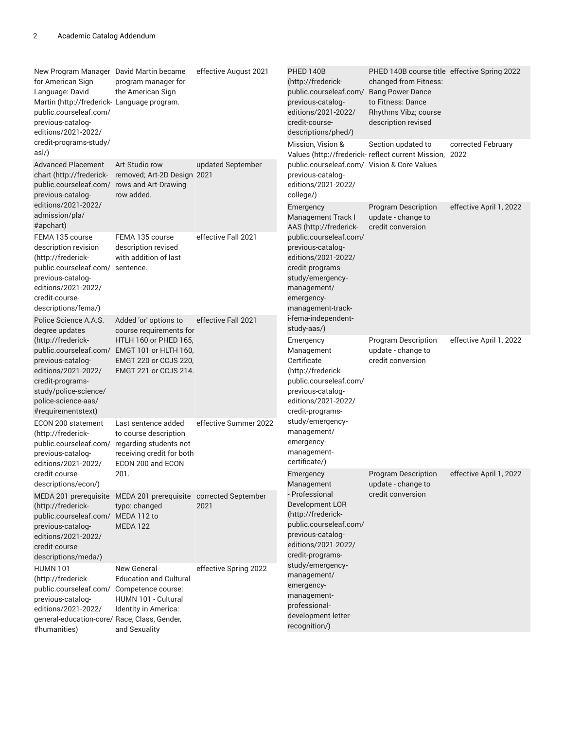| New Program Manager David Martin became<br>for American Sign<br>Language: David<br>Martin (http://frederick- Language program.<br>public.courseleaf.com/<br>previous-catalog-<br>editions/2021-2022/ | program manager for<br>the American Sign                                                                                                                                           | effective August 2021 | PHED 140B<br>(http://frederick-<br>public.courseleaf.com/ Bang Power Dance<br>previous-catalog-<br>editions/2021-2022/<br>credit-course-<br>descriptions/phed/)                                                                                                                                       | PHED 140B course title effective Spring 2022<br>changed from Fitness:<br>to Fitness: Dance<br>Rhythms Vibz; course<br>description revised |                         |
|------------------------------------------------------------------------------------------------------------------------------------------------------------------------------------------------------|------------------------------------------------------------------------------------------------------------------------------------------------------------------------------------|-----------------------|-------------------------------------------------------------------------------------------------------------------------------------------------------------------------------------------------------------------------------------------------------------------------------------------------------|-------------------------------------------------------------------------------------------------------------------------------------------|-------------------------|
| credit-programs-study/<br>asl/)<br><b>Advanced Placement</b><br>chart (http://frederick-<br>public.courseleaf.com/ rows and Art-Drawing<br>previous-catalog-                                         | Art-Studio row<br>removed; Art-2D Design 2021<br>row added.                                                                                                                        | updated September     | Mission, Vision &<br>Values (http://frederick- reflect current Mission, 2022<br>public.courseleaf.com/ Vision & Core Values<br>previous-catalog-<br>editions/2021-2022/<br>college/)                                                                                                                  | Section updated to                                                                                                                        | corrected February      |
| editions/2021-2022/<br>admission/pla/<br>#apchart)                                                                                                                                                   |                                                                                                                                                                                    |                       | Emergency<br>Management Track I<br>AAS (http://frederick-                                                                                                                                                                                                                                             | <b>Program Description</b><br>update - change to<br>credit conversion                                                                     | effective April 1, 2022 |
| FEMA 135 course<br>description revision<br>(http://frederick-<br>public.courseleaf.com/ sentence.<br>previous-catalog-<br>editions/2021-2022/<br>credit-course-<br>descriptions/fema/)               | FEMA 135 course<br>description revised<br>with addition of last                                                                                                                    | effective Fall 2021   | public.courseleaf.com/<br>previous-catalog-<br>editions/2021-2022/<br>credit-programs-<br>study/emergency-<br>management/<br>emergency-<br>management-track-                                                                                                                                          |                                                                                                                                           |                         |
| Police Science A.A.S.<br>degree updates<br>(http://frederick-<br>previous-catalog-<br>editions/2021-2022/<br>credit-programs-<br>study/police-science/<br>police-science-aas/<br>#requirementstext)  | Added 'or' options to<br>course requirements for<br>HTLH 160 or PHED 165,<br>public.courseleaf.com/ EMGT 101 or HLTH 160,<br>EMGT 220 or CCJS 220,<br><b>EMGT 221 or CCJS 214.</b> | effective Fall 2021   | i-fema-independent-<br>study-aas/)<br>Emergency<br>Management<br>Certificate<br>(http://frederick-<br>public.courseleaf.com/<br>previous-catalog-<br>editions/2021-2022/<br>credit-programs-                                                                                                          | <b>Program Description</b><br>update - change to<br>credit conversion                                                                     | effective April 1, 2022 |
| ECON 200 statement<br>(http://frederick-<br>public.courseleaf.com/<br>previous-catalog-<br>editions/2021-2022/                                                                                       | Last sentence added<br>to course description<br>regarding students not<br>receiving credit for both<br>ECON 200 and ECON                                                           | effective Summer 2022 | study/emergency-<br>management/<br>emergency-<br>management-<br>certificate/)                                                                                                                                                                                                                         |                                                                                                                                           |                         |
| credit-course-<br>descriptions/econ/)                                                                                                                                                                | 201.                                                                                                                                                                               |                       | Emergency<br>Management<br>- Professional<br>Development LOR<br>(http://frederick-<br>public.courseleaf.com/<br>previous-catalog-<br>editions/2021-2022/<br>credit-programs-<br>study/emergency-<br>management/<br>emergency-<br>management-<br>professional-<br>development-letter-<br>recognition/) | <b>Program Description</b><br>update - change to<br>credit conversion                                                                     | effective April 1, 2022 |
| (http://frederick-<br>public.courseleaf.com/ MEDA 112 to<br>previous-catalog-<br>editions/2021-2022/<br>credit-course-<br>descriptions/meda/)                                                        | MEDA 201 prerequisite MEDA 201 prerequisite corrected September<br>typo: changed<br><b>MEDA 122</b>                                                                                | 2021                  |                                                                                                                                                                                                                                                                                                       |                                                                                                                                           |                         |
| <b>HUMN 101</b><br>(http://frederick-<br>public.courseleaf.com/ Competence course:<br>previous-catalog-<br>editions/2021-2022/<br>general-education-core/ Race, Class, Gender,<br>#humanities)       | New General<br><b>Education and Cultural</b><br>HUMN 101 - Cultural<br>Identity in America:<br>and Sexuality                                                                       | effective Spring 2022 |                                                                                                                                                                                                                                                                                                       |                                                                                                                                           |                         |